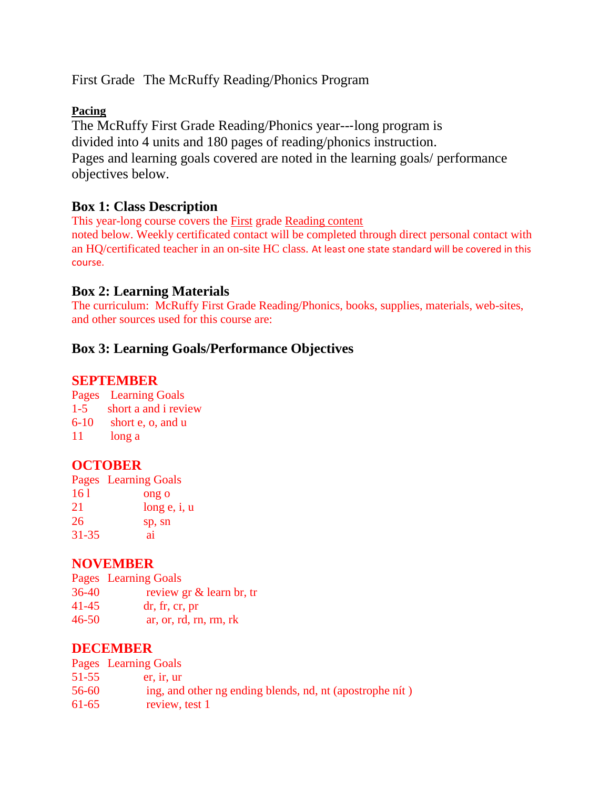First Grade The McRuffy Reading/Phonics Program

#### **Pacing**

The McRuffy First Grade Reading/Phonics year--‐long program is divided into 4 units and 180 pages of reading/phonics instruction. Pages and learning goals covered are noted in the learning goals/ performance objectives below.

## **Box 1: Class Description**

This year-long course covers the First grade Reading content noted below. Weekly certificated contact will be completed through direct personal contact with an HQ/certificated teacher in an on-site HC class. At least one state standard will be covered in this course.

## **Box 2: Learning Materials**

The curriculum: McRuffy First Grade Reading/Phonics, books, supplies, materials, web-sites, and other sources used for this course are:

## **Box 3: Learning Goals/Performance Objectives**

## **SEPTEMBER**

Pages Learning Goals

- 1-5 short a and i review
- 6-10 short e, o, and u
- 11 long a

## **OCTOBER**

Pages Learning Goals  $161$  ong o 21 long e, i, u 26 sp, sn 31-35 ai

## **NOVEMBER**

Pages Learning Goals 36-40 review gr & learn br, tr 41-45 dr, fr, cr, pr 46-50 ar, or, rd, rn, rm, rk

## **DECEMBER**

|         | Pages Learning Goals                                     |
|---------|----------------------------------------------------------|
| 51-55   | er. ir. ur                                               |
| 56-60   | ing, and other ng ending blends, nd, nt (apostrophe nit) |
| $61-65$ | review, test 1                                           |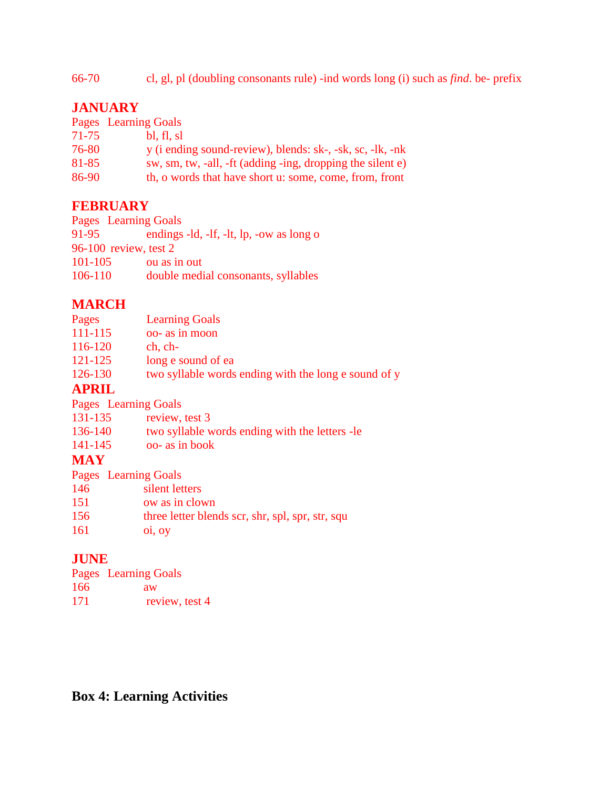66-70 cl, gl, pl (doubling consonants rule) -ind words long (i) such as *find*. be- prefix

# **JANUARY**

|       | Pages Learning Goals                                       |
|-------|------------------------------------------------------------|
| 71-75 | bl, fl, sl                                                 |
| 76-80 | y (i ending sound-review), blends: sk-, -sk, sc, -lk, -nk  |
| 81-85 | sw, sm, tw, -all, -ft (adding -ing, dropping the silent e) |
| 86-90 | th, o words that have short u: some, come, from, front     |

# **FEBRUARY**

Pages Learning Goals 91-95 endings -ld, -lf, -lt, lp, -ow as long o 96-100 review, test 2 101-105 ou as in out 106-110 double medial consonants, syllables

# **MARCH**

| Pages       | <b>Learning Goals</b>                                |
|-------------|------------------------------------------------------|
| $111 - 115$ | oo- as in moon                                       |
| 116-120     | $ch, ch-$                                            |
| 121-125     | long e sound of ea                                   |
| 126-130     | two syllable words ending with the long e sound of y |

# **APRIL**

Pages Learning Goals

| 131-135 | review, test 3                                  |
|---------|-------------------------------------------------|
| 136-140 | two syllable words ending with the letters - le |
| 141-145 | oo- as in book                                  |
|         |                                                 |

# **MAY**

|            | Pages Learning Goals                             |
|------------|--------------------------------------------------|
| 146        | silent letters                                   |
| 151        | ow as in clown                                   |
| 156        | three letter blends scr, shr, spl, spr, str, squ |
| <b>161</b> | $0i$ , $0y$                                      |

# **JUNE**

|     | <b>Pages</b> Learning Goals |
|-----|-----------------------------|
| 166 | aw                          |
| 171 | review, test 4              |

# **Box 4: Learning Activities**